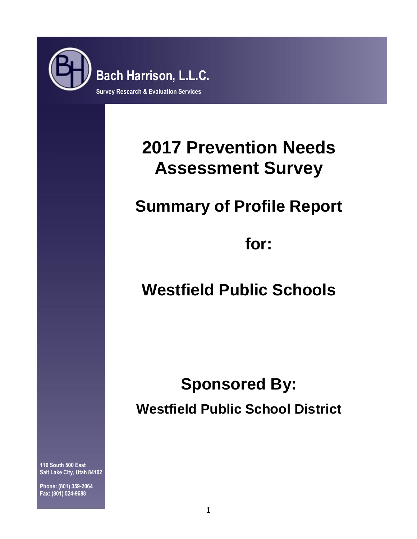

# **2017 Prevention Needs Assessment Survey**

# **Summary of Profile Report**

**for:**

# **Westfield Public Schools**

# **Sponsored By: Westfield Public School District**

**116 South 500 East Salt Lake City, Utah 84102**

**Phone: (801) 359-2064 Fax: (801) 524-9688**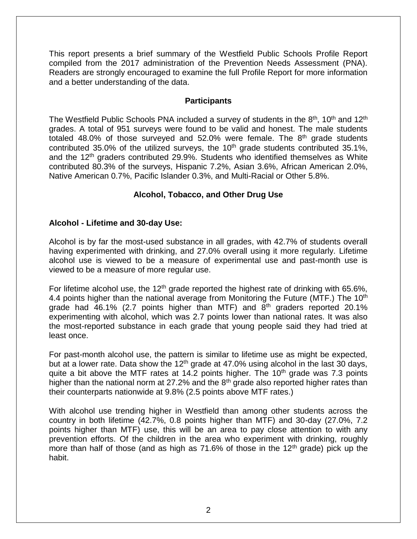This report presents a brief summary of the Westfield Public Schools Profile Report compiled from the 2017 administration of the Prevention Needs Assessment (PNA). Readers are strongly encouraged to examine the full Profile Report for more information and a better understanding of the data.

# **Participants**

The Westfield Public Schools PNA included a survey of students in the 8<sup>th</sup>, 10<sup>th</sup> and 12<sup>th</sup> grades. A total of 951 surveys were found to be valid and honest. The male students totaled 48.0% of those surveyed and  $52.0\%$  were female. The  $8<sup>th</sup>$  grade students contributed 35.0% of the utilized surveys, the  $10<sup>th</sup>$  grade students contributed 35.1%, and the 12<sup>th</sup> graders contributed 29.9%. Students who identified themselves as White contributed 80.3% of the surveys, Hispanic 7.2%, Asian 3.6%, African American 2.0%, Native American 0.7%, Pacific Islander 0.3%, and Multi-Racial or Other 5.8%.

# **Alcohol, Tobacco, and Other Drug Use**

# **Alcohol - Lifetime and 30-day Use:**

Alcohol is by far the most-used substance in all grades, with 42.7% of students overall having experimented with drinking, and 27.0% overall using it more regularly. Lifetime alcohol use is viewed to be a measure of experimental use and past-month use is viewed to be a measure of more regular use.

For lifetime alcohol use, the  $12<sup>th</sup>$  grade reported the highest rate of drinking with 65.6%, 4.4 points higher than the national average from Monitoring the Future (MTF.) The 10<sup>th</sup> grade had 46.1% (2.7 points higher than MTF) and  $8<sup>th</sup>$  graders reported 20.1% experimenting with alcohol, which was 2.7 points lower than national rates. It was also the most-reported substance in each grade that young people said they had tried at least once.

For past-month alcohol use, the pattern is similar to lifetime use as might be expected, but at a lower rate. Data show the  $12<sup>th</sup>$  grade at 47.0% using alcohol in the last 30 days, quite a bit above the MTF rates at 14.2 points higher. The  $10<sup>th</sup>$  grade was 7.3 points higher than the national norm at 27.2% and the  $8<sup>th</sup>$  grade also reported higher rates than their counterparts nationwide at 9.8% (2.5 points above MTF rates.)

With alcohol use trending higher in Westfield than among other students across the country in both lifetime (42.7%, 0.8 points higher than MTF) and 30-day (27.0%, 7.2 points higher than MTF) use, this will be an area to pay close attention to with any prevention efforts. Of the children in the area who experiment with drinking, roughly more than half of those (and as high as  $71.6\%$  of those in the  $12<sup>th</sup>$  grade) pick up the habit.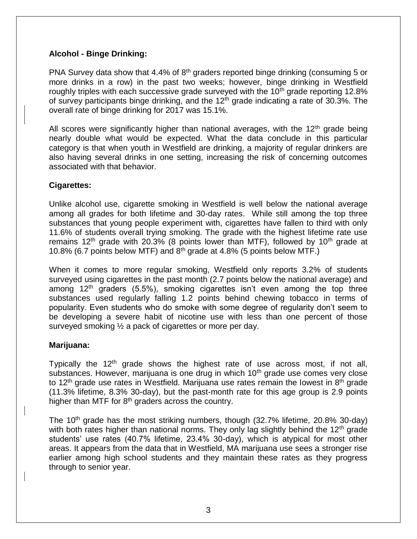# **Alcohol - Binge Drinking:**

PNA Survey data show that 4.4% of  $8<sup>th</sup>$  graders reported binge drinking (consuming 5 or more drinks in a row) in the past two weeks; however, binge drinking in Westfield roughly triples with each successive grade surveyed with the  $10<sup>th</sup>$  grade reporting 12.8% of survey participants binge drinking, and the  $12<sup>th</sup>$  grade indicating a rate of 30.3%. The overall rate of binge drinking for 2017 was 15.1%.

All scores were significantly higher than national averages, with the  $12<sup>th</sup>$  grade being nearly double what would be expected. What the data conclude in this particular category is that when youth in Westfield are drinking, a majority of regular drinkers are also having several drinks in one setting, increasing the risk of concerning outcomes associated with that behavior.

# **Cigarettes:**

Unlike alcohol use, cigarette smoking in Westfield is well below the national average among all grades for both lifetime and 30-day rates. While still among the top three substances that young people experiment with, cigarettes have fallen to third with only 11.6% of students overall trying smoking. The grade with the highest lifetime rate use remains  $12<sup>th</sup>$  grade with 20.3% (8 points lower than MTF), followed by  $10<sup>th</sup>$  grade at 10.8% (6.7 points below MTF) and 8th grade at 4.8% (5 points below MTF.)

When it comes to more regular smoking, Westfield only reports 3.2% of students surveyed using cigarettes in the past month (2.7 points below the national average) and among  $12<sup>th</sup>$  graders (5.5%), smoking cigarettes isn't even among the top three substances used regularly falling 1.2 points behind chewing tobacco in terms of popularity. Even students who do smoke with some degree of regularity don't seem to be developing a severe habit of nicotine use with less than one percent of those surveyed smoking ½ a pack of cigarettes or more per day.

# **Marijuana:**

Typically the 12<sup>th</sup> grade shows the highest rate of use across most, if not all, substances. However, marijuana is one drug in which 10<sup>th</sup> grade use comes very close to 12<sup>th</sup> grade use rates in Westfield. Marijuana use rates remain the lowest in  $8<sup>th</sup>$  grade (11.3% lifetime, 8.3% 30-day), but the past-month rate for this age group is 2.9 points higher than MTF for  $8<sup>th</sup>$  graders across the country.

The 10<sup>th</sup> grade has the most striking numbers, though  $(32.7\%$  lifetime, 20.8% 30-day) with both rates higher than national norms. They only lag slightly behind the  $12<sup>th</sup>$  grade students' use rates (40.7% lifetime, 23.4% 30-day), which is atypical for most other areas. It appears from the data that in Westfield, MA marijuana use sees a stronger rise earlier among high school students and they maintain these rates as they progress through to senior year.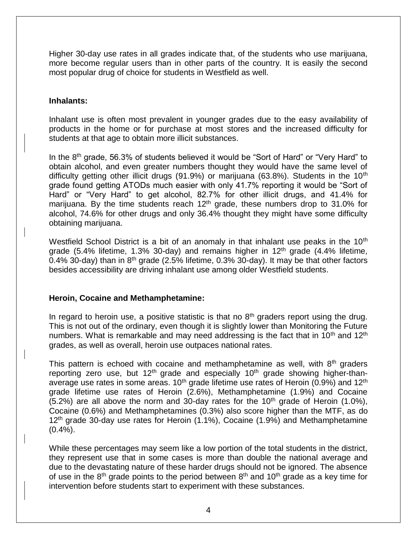Higher 30-day use rates in all grades indicate that, of the students who use marijuana, more become regular users than in other parts of the country. It is easily the second most popular drug of choice for students in Westfield as well.

# **Inhalants:**

Inhalant use is often most prevalent in younger grades due to the easy availability of products in the home or for purchase at most stores and the increased difficulty for students at that age to obtain more illicit substances.

In the 8<sup>th</sup> grade, 56.3% of students believed it would be "Sort of Hard" or "Very Hard" to obtain alcohol, and even greater numbers thought they would have the same level of difficulty getting other illicit drugs (91.9%) or marijuana (63.8%). Students in the  $10<sup>th</sup>$ grade found getting ATODs much easier with only 41.7% reporting it would be "Sort of Hard" or "Very Hard" to get alcohol, 82.7% for other illicit drugs, and 41.4% for marijuana. By the time students reach  $12<sup>th</sup>$  grade, these numbers drop to 31.0% for alcohol, 74.6% for other drugs and only 36.4% thought they might have some difficulty obtaining marijuana.

Westfield School District is a bit of an anomaly in that inhalant use peaks in the  $10<sup>th</sup>$ grade (5.4% lifetime, 1.3% 30-day) and remains higher in  $12<sup>th</sup>$  grade (4.4% lifetime, 0.4% 30-day) than in  $8<sup>th</sup>$  grade (2.5% lifetime, 0.3% 30-day). It may be that other factors besides accessibility are driving inhalant use among older Westfield students.

# **Heroin, Cocaine and Methamphetamine:**

In regard to heroin use, a positive statistic is that no  $8<sup>th</sup>$  graders report using the drug. This is not out of the ordinary, even though it is slightly lower than Monitoring the Future numbers. What is remarkable and may need addressing is the fact that in  $10<sup>th</sup>$  and  $12<sup>th</sup>$ grades, as well as overall, heroin use outpaces national rates.

This pattern is echoed with cocaine and methamphetamine as well, with  $8<sup>th</sup>$  graders reporting zero use, but 12<sup>th</sup> grade and especially 10<sup>th</sup> grade showing higher-thanaverage use rates in some areas.  $10<sup>th</sup>$  grade lifetime use rates of Heroin (0.9%) and  $12<sup>th</sup>$ grade lifetime use rates of Heroin (2.6%), Methamphetamine (1.9%) and Cocaine  $(5.2%)$  are all above the norm and 30-day rates for the 10<sup>th</sup> grade of Heroin (1.0%), Cocaine (0.6%) and Methamphetamines (0.3%) also score higher than the MTF, as do  $12<sup>th</sup>$  grade 30-day use rates for Heroin (1.1%), Cocaine (1.9%) and Methamphetamine  $(0.4\%)$ .

While these percentages may seem like a low portion of the total students in the district, they represent use that in some cases is more than double the national average and due to the devastating nature of these harder drugs should not be ignored. The absence of use in the  $8<sup>th</sup>$  grade points to the period between  $8<sup>th</sup>$  and  $10<sup>th</sup>$  grade as a key time for intervention before students start to experiment with these substances.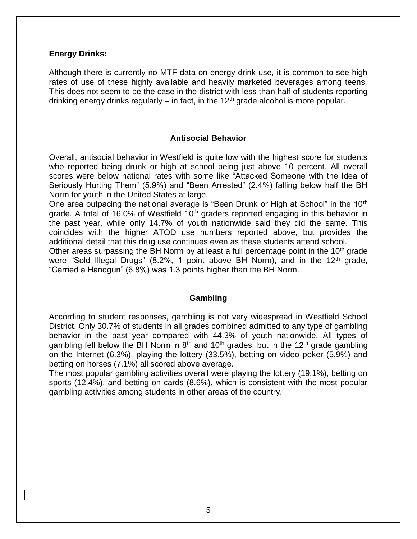#### **Energy Drinks:**

Although there is currently no MTF data on energy drink use, it is common to see high rates of use of these highly available and heavily marketed beverages among teens. This does not seem to be the case in the district with less than half of students reporting drinking energy drinks regularly – in fact, in the  $12<sup>th</sup>$  grade alcohol is more popular.

# **Antisocial Behavior**

Overall, antisocial behavior in Westfield is quite low with the highest score for students who reported being drunk or high at school being just above 10 percent. All overall scores were below national rates with some like "Attacked Someone with the Idea of Seriously Hurting Them" (5.9%) and "Been Arrested" (2.4%) falling below half the BH Norm for youth in the United States at large.

One area outpacing the national average is "Been Drunk or High at School" in the 10<sup>th</sup> grade. A total of 16.0% of Westfield  $10<sup>th</sup>$  graders reported engaging in this behavior in the past year, while only 14.7% of youth nationwide said they did the same. This coincides with the higher ATOD use numbers reported above, but provides the additional detail that this drug use continues even as these students attend school.

Other areas surpassing the BH Norm by at least a full percentage point in the  $10<sup>th</sup>$  grade were "Sold Illegal Drugs" (8.2%, 1 point above BH Norm), and in the  $12<sup>th</sup>$  grade, "Carried a Handgun" (6.8%) was 1.3 points higher than the BH Norm.

#### **Gambling**

According to student responses, gambling is not very widespread in Westfield School District. Only 30.7% of students in all grades combined admitted to any type of gambling behavior in the past year compared with 44.3% of youth nationwide. All types of gambling fell below the BH Norm in  $8<sup>th</sup>$  and 10<sup>th</sup> grades, but in the 12<sup>th</sup> grade gambling on the Internet (6.3%), playing the lottery (33.5%), betting on video poker (5.9%) and betting on horses (7.1%) all scored above average.

The most popular gambling activities overall were playing the lottery (19.1%), betting on sports (12.4%), and betting on cards (8.6%), which is consistent with the most popular gambling activities among students in other areas of the country.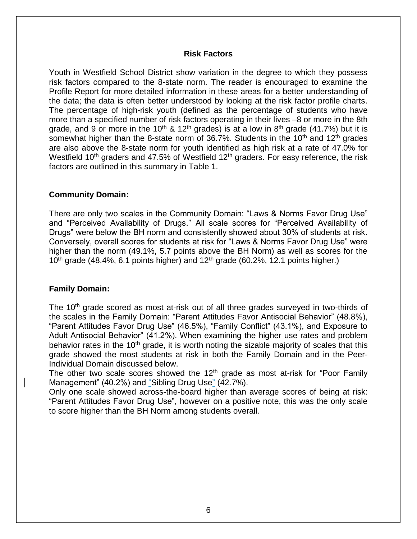#### **Risk Factors**

Youth in Westfield School District show variation in the degree to which they possess risk factors compared to the 8-state norm. The reader is encouraged to examine the Profile Report for more detailed information in these areas for a better understanding of the data; the data is often better understood by looking at the risk factor profile charts. The percentage of high-risk youth (defined as the percentage of students who have more than a specified number of risk factors operating in their lives –8 or more in the 8th grade, and 9 or more in the 10<sup>th</sup> & 12<sup>th</sup> grades) is at a low in 8<sup>th</sup> grade (41.7%) but it is somewhat higher than the 8-state norm of 36.7%. Students in the  $10<sup>th</sup>$  and  $12<sup>th</sup>$  grades are also above the 8-state norm for youth identified as high risk at a rate of 47.0% for Westfield 10<sup>th</sup> graders and 47.5% of Westfield 12<sup>th</sup> graders. For easy reference, the risk factors are outlined in this summary in Table 1.

#### **Community Domain:**

There are only two scales in the Community Domain: "Laws & Norms Favor Drug Use" and "Perceived Availability of Drugs." All scale scores for "Perceived Availability of Drugs" were below the BH norm and consistently showed about 30% of students at risk. Conversely, overall scores for students at risk for "Laws & Norms Favor Drug Use" were higher than the norm (49.1%, 5.7 points above the BH Norm) as well as scores for the  $10<sup>th</sup>$  grade (48.4%, 6.1 points higher) and  $12<sup>th</sup>$  grade (60.2%, 12.1 points higher.)

# **Family Domain:**

The 10<sup>th</sup> grade scored as most at-risk out of all three grades surveyed in two-thirds of the scales in the Family Domain: "Parent Attitudes Favor Antisocial Behavior" (48.8%), "Parent Attitudes Favor Drug Use" (46.5%), "Family Conflict" (43.1%), and Exposure to Adult Antisocial Behavior" (41.2%). When examining the higher use rates and problem behavior rates in the  $10<sup>th</sup>$  grade, it is worth noting the sizable majority of scales that this grade showed the most students at risk in both the Family Domain and in the Peer-Individual Domain discussed below.

The other two scale scores showed the  $12<sup>th</sup>$  grade as most at-risk for "Poor Family Management" (40.2%) and "Sibling Drug Use" (42.7%).

Only one scale showed across-the-board higher than average scores of being at risk: "Parent Attitudes Favor Drug Use", however on a positive note, this was the only scale to score higher than the BH Norm among students overall.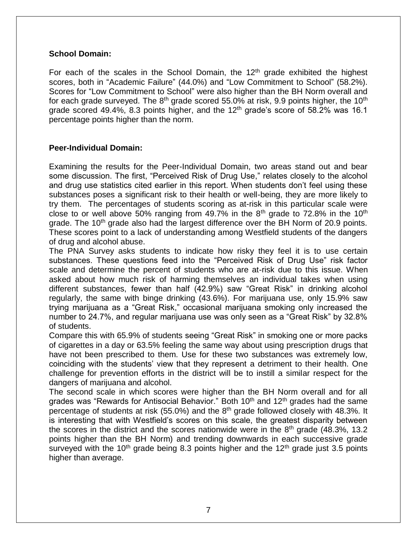# **School Domain:**

For each of the scales in the School Domain, the  $12<sup>th</sup>$  grade exhibited the highest scores, both in "Academic Failure" (44.0%) and "Low Commitment to School" (58.2%). Scores for "Low Commitment to School" were also higher than the BH Norm overall and for each grade surveyed. The  $8<sup>th</sup>$  grade scored 55.0% at risk, 9.9 points higher, the 10<sup>th</sup> grade scored 49.4%, 8.3 points higher, and the  $12<sup>th</sup>$  grade's score of 58.2% was 16.1 percentage points higher than the norm.

# **Peer-Individual Domain:**

Examining the results for the Peer-Individual Domain, two areas stand out and bear some discussion. The first, "Perceived Risk of Drug Use," relates closely to the alcohol and drug use statistics cited earlier in this report. When students don't feel using these substances poses a significant risk to their health or well-being, they are more likely to try them. The percentages of students scoring as at-risk in this particular scale were close to or well above 50% ranging from 49.7% in the  $8<sup>th</sup>$  grade to 72.8% in the 10<sup>th</sup> grade. The 10<sup>th</sup> grade also had the largest difference over the BH Norm of 20.9 points. These scores point to a lack of understanding among Westfield students of the dangers of drug and alcohol abuse.

The PNA Survey asks students to indicate how risky they feel it is to use certain substances. These questions feed into the "Perceived Risk of Drug Use" risk factor scale and determine the percent of students who are at-risk due to this issue. When asked about how much risk of harming themselves an individual takes when using different substances, fewer than half (42.9%) saw "Great Risk" in drinking alcohol regularly, the same with binge drinking (43.6%). For marijuana use, only 15.9% saw trying marijuana as a "Great Risk," occasional marijuana smoking only increased the number to 24.7%, and regular marijuana use was only seen as a "Great Risk" by 32.8% of students.

Compare this with 65.9% of students seeing "Great Risk" in smoking one or more packs of cigarettes in a day or 63.5% feeling the same way about using prescription drugs that have not been prescribed to them. Use for these two substances was extremely low, coinciding with the students' view that they represent a detriment to their health. One challenge for prevention efforts in the district will be to instill a similar respect for the dangers of marijuana and alcohol.

The second scale in which scores were higher than the BH Norm overall and for all grades was "Rewards for Antisocial Behavior." Both  $10<sup>th</sup>$  and  $12<sup>th</sup>$  grades had the same percentage of students at risk (55.0%) and the 8<sup>th</sup> grade followed closely with 48.3%. It is interesting that with Westfield's scores on this scale, the greatest disparity between the scores in the district and the scores nationwide were in the  $8<sup>th</sup>$  grade (48.3%, 13.2) points higher than the BH Norm) and trending downwards in each successive grade surveyed with the 10<sup>th</sup> grade being 8.3 points higher and the 12<sup>th</sup> grade just 3.5 points higher than average.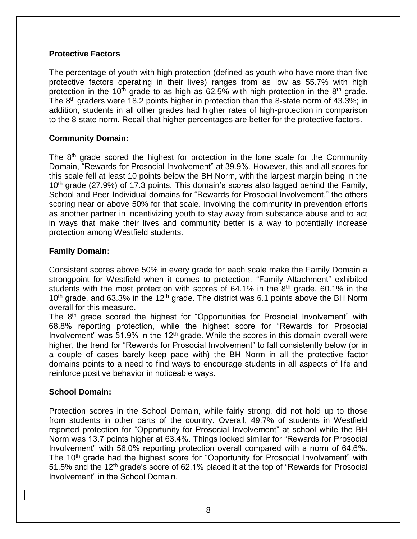# **Protective Factors**

The percentage of youth with high protection (defined as youth who have more than five protective factors operating in their lives) ranges from as low as 55.7% with high protection in the 10<sup>th</sup> grade to as high as 62.5% with high protection in the  $8<sup>th</sup>$  grade. The 8<sup>th</sup> graders were 18.2 points higher in protection than the 8-state norm of 43.3%; in addition, students in all other grades had higher rates of high-protection in comparison to the 8-state norm. Recall that higher percentages are better for the protective factors.

# **Community Domain:**

The  $8<sup>th</sup>$  grade scored the highest for protection in the lone scale for the Community Domain, "Rewards for Prosocial Involvement" at 39.9%. However, this and all scores for this scale fell at least 10 points below the BH Norm, with the largest margin being in the 10<sup>th</sup> grade (27.9%) of 17.3 points. This domain's scores also lagged behind the Family, School and Peer-Individual domains for "Rewards for Prosocial Involvement," the others scoring near or above 50% for that scale. Involving the community in prevention efforts as another partner in incentivizing youth to stay away from substance abuse and to act in ways that make their lives and community better is a way to potentially increase protection among Westfield students.

# **Family Domain:**

Consistent scores above 50% in every grade for each scale make the Family Domain a strongpoint for Westfield when it comes to protection. "Family Attachment" exhibited students with the most protection with scores of  $64.1\%$  in the  $8<sup>th</sup>$  grade, 60.1% in the  $10<sup>th</sup>$  grade, and 63.3% in the 12<sup>th</sup> grade. The district was 6.1 points above the BH Norm overall for this measure.

The  $8<sup>th</sup>$  grade scored the highest for "Opportunities for Prosocial Involvement" with 68.8% reporting protection, while the highest score for "Rewards for Prosocial Involvement" was  $51.9\%$  in the  $12<sup>th</sup>$  grade. While the scores in this domain overall were higher, the trend for "Rewards for Prosocial Involvement" to fall consistently below (or in a couple of cases barely keep pace with) the BH Norm in all the protective factor domains points to a need to find ways to encourage students in all aspects of life and reinforce positive behavior in noticeable ways.

# **School Domain:**

Protection scores in the School Domain, while fairly strong, did not hold up to those from students in other parts of the country. Overall, 49.7% of students in Westfield reported protection for "Opportunity for Prosocial Involvement" at school while the BH Norm was 13.7 points higher at 63.4%. Things looked similar for "Rewards for Prosocial Involvement" with 56.0% reporting protection overall compared with a norm of 64.6%. The 10<sup>th</sup> grade had the highest score for "Opportunity for Prosocial Involvement" with 51.5% and the 12<sup>th</sup> grade's score of 62.1% placed it at the top of "Rewards for Prosocial Involvement" in the School Domain.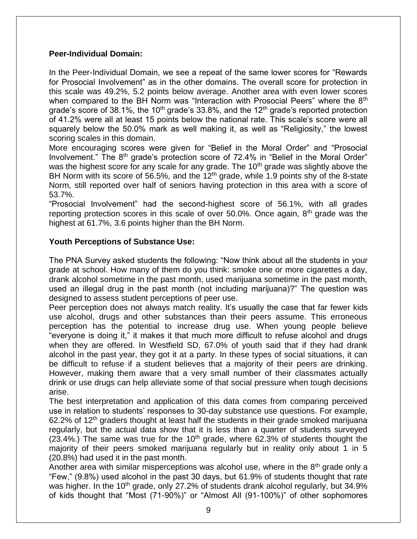# **Peer-Individual Domain:**

In the Peer-Individual Domain, we see a repeat of the same lower scores for "Rewards for Prosocial Involvement" as in the other domains. The overall score for protection in this scale was 49.2%, 5.2 points below average. Another area with even lower scores when compared to the BH Norm was "Interaction with Prosocial Peers" where the 8<sup>th</sup> grade's score of 38.1%, the 10<sup>th</sup> grade's 33.8%, and the 12<sup>th</sup> grade's reported protection of 41.2% were all at least 15 points below the national rate. This scale's score were all squarely below the 50.0% mark as well making it, as well as "Religiosity," the lowest scoring scales in this domain.

More encouraging scores were given for "Belief in the Moral Order" and "Prosocial Involvement." The 8<sup>th</sup> grade's protection score of 72.4% in "Belief in the Moral Order" was the highest score for any scale for any grade. The 10<sup>th</sup> grade was slightly above the BH Norm with its score of 56.5%, and the  $12<sup>th</sup>$  grade, while 1.9 points shy of the 8-state Norm, still reported over half of seniors having protection in this area with a score of 53.7%.

"Prosocial Involvement" had the second-highest score of 56.1%, with all grades reporting protection scores in this scale of over 50.0%. Once again,  $8<sup>th</sup>$  grade was the highest at 61.7%, 3.6 points higher than the BH Norm.

# **Youth Perceptions of Substance Use:**

The PNA Survey asked students the following: "Now think about all the students in your grade at school. How many of them do you think: smoke one or more cigarettes a day, drank alcohol sometime in the past month, used marijuana sometime in the past month, used an illegal drug in the past month (not including marijuana)?" The question was designed to assess student perceptions of peer use.

Peer perception does not always match reality. It's usually the case that far fewer kids use alcohol, drugs and other substances than their peers assume. This erroneous perception has the potential to increase drug use. When young people believe "everyone is doing it," it makes it that much more difficult to refuse alcohol and drugs when they are offered. In Westfield SD, 67.0% of youth said that if they had drank alcohol in the past year, they got it at a party. In these types of social situations, it can be difficult to refuse if a student believes that a majority of their peers are drinking. However, making them aware that a very small number of their classmates actually drink or use drugs can help alleviate some of that social pressure when tough decisions arise.

The best interpretation and application of this data comes from comparing perceived use in relation to students' responses to 30-day substance use questions. For example, 62.2% of  $12<sup>th</sup>$  graders thought at least half the students in their grade smoked marijuana regularly, but the actual data show that it is less than a quarter of students surveyed (23.4%.) The same was true for the  $10<sup>th</sup>$  grade, where 62.3% of students thought the majority of their peers smoked marijuana regularly but in reality only about 1 in 5 (20.8%) had used it in the past month.

Another area with similar misperceptions was alcohol use, where in the  $8<sup>th</sup>$  grade only a "Few," (9.8%) used alcohol in the past 30 days, but 61.9% of students thought that rate was higher. In the 10<sup>th</sup> grade, only 27.2% of students drank alcohol regularly, but 34.9% of kids thought that "Most (71-90%)" or "Almost All (91-100%)" of other sophomores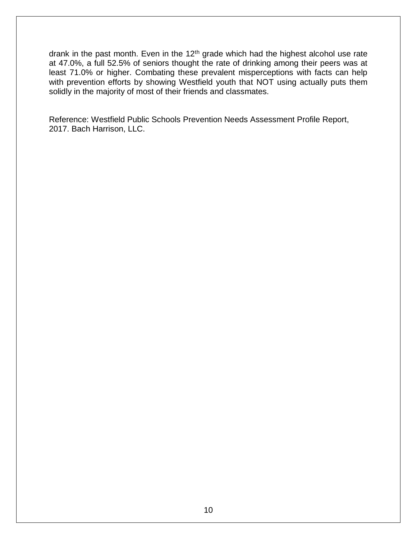drank in the past month. Even in the 12<sup>th</sup> grade which had the highest alcohol use rate at 47.0%, a full 52.5% of seniors thought the rate of drinking among their peers was at least 71.0% or higher. Combating these prevalent misperceptions with facts can help with prevention efforts by showing Westfield youth that NOT using actually puts them solidly in the majority of most of their friends and classmates.

Reference: Westfield Public Schools Prevention Needs Assessment Profile Report, 2017. Bach Harrison, LLC.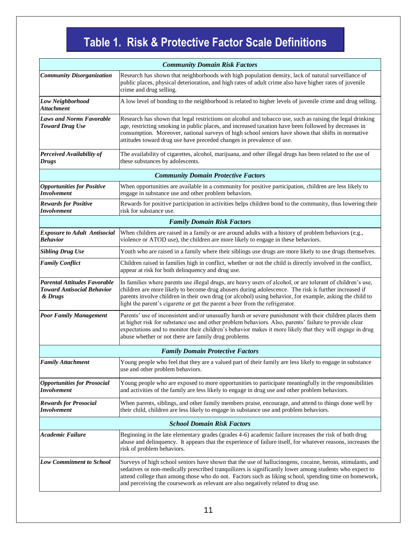# **Table 1. Risk & Protective Factor Scale Definitions**

| <b>Community Domain Risk Factors</b>                                                |                                                                                                                                                                                                                                                                                                                                                                                                                     |  |
|-------------------------------------------------------------------------------------|---------------------------------------------------------------------------------------------------------------------------------------------------------------------------------------------------------------------------------------------------------------------------------------------------------------------------------------------------------------------------------------------------------------------|--|
| <b>Community Disorganization</b>                                                    | Research has shown that neighborhoods with high population density, lack of natural surveillance of<br>public places, physical deterioration, and high rates of adult crime also have higher rates of juvenile<br>crime and drug selling.                                                                                                                                                                           |  |
| Low Neighborhood<br><b>Attachment</b>                                               | A low level of bonding to the neighborhood is related to higher levels of juvenile crime and drug selling.                                                                                                                                                                                                                                                                                                          |  |
| <b>Laws and Norms Favorable</b><br><b>Toward Drug Use</b>                           | Research has shown that legal restrictions on alcohol and tobacco use, such as raising the legal drinking<br>age, restricting smoking in public places, and increased taxation have been followed by decreases in<br>consumption. Moreover, national surveys of high school seniors have shown that shifts in normative<br>attitudes toward drug use have preceded changes in prevalence of use.                    |  |
| Perceived Availability of<br><b>Drugs</b>                                           | The availability of cigarettes, alcohol, marijuana, and other illegal drugs has been related to the use of<br>these substances by adolescents.                                                                                                                                                                                                                                                                      |  |
| <b>Community Domain Protective Factors</b>                                          |                                                                                                                                                                                                                                                                                                                                                                                                                     |  |
| <b>Opportunities for Positive</b><br>Involvement                                    | When opportunities are available in a community for positive participation, children are less likely to<br>engage in substance use and other problem behaviors.                                                                                                                                                                                                                                                     |  |
| <b>Rewards for Positive</b><br>Involvement                                          | Rewards for positive participation in activities helps children bond to the community, thus lowering their<br>risk for substance use.                                                                                                                                                                                                                                                                               |  |
| <b>Family Domain Risk Factors</b>                                                   |                                                                                                                                                                                                                                                                                                                                                                                                                     |  |
| <b>Exposure to Adult Antisocial</b><br><b>Behavior</b>                              | When children are raised in a family or are around adults with a history of problem behaviors (e.g.,<br>violence or ATOD use), the children are more likely to engage in these behaviors.                                                                                                                                                                                                                           |  |
| <b>Sibling Drug Use</b>                                                             | Youth who are raised in a family where their siblings use drugs are more likely to use drugs themselves.                                                                                                                                                                                                                                                                                                            |  |
| <b>Family Conflict</b>                                                              | Children raised in families high in conflict, whether or not the child is directly involved in the conflict,<br>appear at risk for both delinquency and drug use.                                                                                                                                                                                                                                                   |  |
| <b>Parental Attitudes Favorable</b><br><b>Toward Antisocial Behavior</b><br>& Drugs | In families where parents use illegal drugs, are heavy users of alcohol, or are tolerant of children's use,<br>children are more likely to become drug abusers during adolescence. The risk is further increased if<br>parents involve children in their own drug (or alcohol) using behavior, for example, asking the child to<br>light the parent's cigarette or get the parent a beer from the refrigerator.     |  |
| <b>Poor Family Management</b>                                                       | Parents' use of inconsistent and/or unusually harsh or severe punishment with their children places them<br>at higher risk for substance use and other problem behaviors. Also, parents' failure to provide clear<br>expectations and to monitor their children's behavior makes it more likely that they will engage in drug<br>abuse whether or not there are family drug problems                                |  |
| <b>Family Domain Protective Factors</b>                                             |                                                                                                                                                                                                                                                                                                                                                                                                                     |  |
| <b>Family Attachment</b>                                                            | Young people who feel that they are a valued part of their family are less likely to engage in substance<br>use and other problem behaviors.                                                                                                                                                                                                                                                                        |  |
| <b>Opportunities for Prosocial</b><br>Involvement                                   | Young people who are exposed to more opportunities to participate meaningfully in the responsibilities<br>and activities of the family are less likely to engage in drug use and other problem behaviors.                                                                                                                                                                                                           |  |
| <b>Rewards for Prosocial</b><br>Involvement                                         | When parents, siblings, and other family members praise, encourage, and attend to things done well by<br>their child, children are less likely to engage in substance use and problem behaviors.                                                                                                                                                                                                                    |  |
| <b>School Domain Risk Factors</b>                                                   |                                                                                                                                                                                                                                                                                                                                                                                                                     |  |
| <b>Academic Failure</b>                                                             | Beginning in the late elementary grades (grades 4-6) academic failure increases the risk of both drug<br>abuse and delinquency. It appears that the experience of failure itself, for whatever reasons, increases the<br>risk of problem behaviors.                                                                                                                                                                 |  |
| <b>Low Commitment to School</b>                                                     | Surveys of high school seniors have shown that the use of hallucinogens, cocaine, heroin, stimulants, and<br>sedatives or non-medically prescribed tranquilizers is significantly lower among students who expect to<br>attend college than among those who do not. Factors such as liking school, spending time on homework,<br>and perceiving the coursework as relevant are also negatively related to drug use. |  |